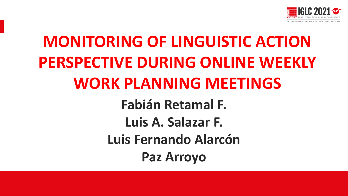

# **MONITORING OF LINGUISTIC ACTION PERSPECTIVE DURING ONLINE WEEKLY WORK PLANNING MEETINGS Fabián Retamal F. Luis A. Salazar F. Luis Fernando Alarcón Paz Arroyo**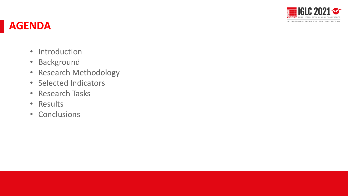

#### **AGENDA**

- Introduction
- Background
- Research Methodology
- Selected Indicators
- Research Tasks
- Results
- Conclusions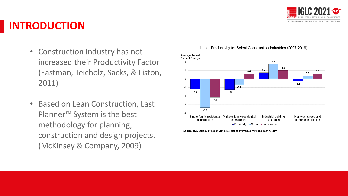

#### **INTRODUCTION**

- Construction Industry has not increased their Productivity Factor (Eastman, Teicholz, Sacks, & Liston, 2011)
- Based on Lean Construction, Last Planner™ System is the best methodology for planning, construction and design projects. (McKinsey & Company, 2009)



Labor Productivity for Select Construction Industries (2007-2019)

Source: U.S. Bureau of Labor Statistics, Office of Productivity and Technology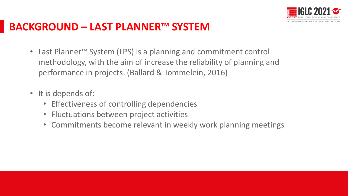

#### **BACKGROUND – LAST PLANNER™ SYSTEM**

- Last Planner™ System (LPS) is a planning and commitment control methodology, with the aim of increase the reliability of planning and performance in projects. (Ballard & Tommelein, 2016)
- It is depends of:
	- Effectiveness of controlling dependencies
	- Fluctuations between project activities
	- Commitments become relevant in weekly work planning meetings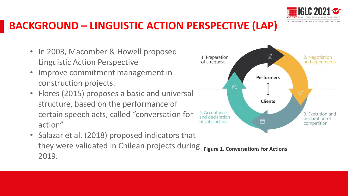

#### **BACKGROUND – LINGUISTIC ACTION PERSPECTIVE (LAP)**

- In 2003, Macomber & Howell proposed Linguistic Action Perspective
- Improve commitment management in construction projects.
- Flores (2015) proposes a basic and universal structure, based on the performance of certain speech acts, called "conversation for action"
- Salazar et al. (2018) proposed indicators that they were validated in Chilean projects during 2019. **Figure 1. Conversations for Actions**

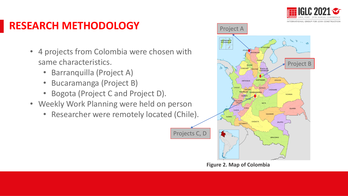

### **RESEARCH METHODOLOGY**

- 4 projects from Colombia were chosen with same characteristics.
	- Barranquilla (Project A)
	- Bucaramanga (Project B)
	- Bogota (Project C and Project D).
- Weekly Work Planning were held on person
	- Researcher were remotely located (Chile).



**Figure 2. Map of Colombia**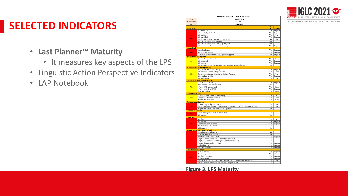

#### INTERNATIONAL GROUP FOR LEAN CONSTRUCTION

### **SELECTED INDICATORS**

- **Last Planner™ Maturity**
	- It measures key aspects of the LPS
- Linguistic Action Perspective Indicators
- LAP Notebook

| <b>Researcher</b>            | XXXX                                                                                 |                |                |
|------------------------------|--------------------------------------------------------------------------------------|----------------|----------------|
| Date                         | 23-10-2020                                                                           |                |                |
|                              |                                                                                      | <b>Is</b>      |                |
| <b>Initial Plan</b>          |                                                                                      | it?            | <b>Quality</b> |
|                              | Master Plan exists                                                                   | Yes            | Regular        |
|                              | It is checked periodically                                                           | Yes            | Regular        |
|                              | It is updated                                                                        | Yes            | Poorly         |
| 38%                          | It is published                                                                      | Yes            | Regular        |
|                              | There is a milestone plan, and it is published                                       | No             | Poorly         |
|                              | It is complemented with the layout                                                   | NA.            |                |
|                              | It is complemented with a shopping program                                           | NA             |                |
|                              | It is sustainable, the standards of the company are met                              | Yes            | Regular        |
| <b>Look</b> ahead            |                                                                                      |                |                |
|                              | Lookahead exists                                                                     | Yes            | Regular        |
| 33%                          | It is reviewed weekly                                                                | Yes            | Regular        |
|                              | Crossover with milestones and programming goals                                      | No             | Regular        |
|                              | <b>Restrictions Management</b>                                                       |                |                |
|                              | Record of restrictions exists                                                        | Yes            | Good           |
|                              | It is measured                                                                       | Yes            | Regular        |
| 50%                          | It is tracked                                                                        | Yes            | Regular        |
|                              | There is an indicator for managing restrictions for noncompliance                    | No             |                |
|                              | <b>Weekly Work Planning Meeting</b>                                                  |                |                |
|                              | Be prepared before the meeting                                                       | Yes            | Regular        |
|                              | The structure of the meeting is followed                                             | Yes            | Good           |
| 52%                          | There is the active participation of the Last Planners                               | Yes            | Poorly         |
|                              | It takes place weekly                                                                | Yes            | Regular        |
|                              | The goal is clear                                                                    | Yes            | Poorly         |
|                              | <b>Causes of noncompliance analysis</b>                                              |                |                |
|                              | CNC exist in the meeting                                                             | Yes            | Regular        |
|                              | Accumulated CNC are recorded                                                         | NA             |                |
| 75%                          | Weekly CNC are recorded                                                              | Yes            | Good           |
|                              | Weekly analysis of CNC                                                               | Yes            | Regular        |
|                              | CNC are published                                                                    | Yes            | Good           |
| <b>Corrective actions</b>    |                                                                                      |                |                |
|                              | Corrective actions exist in the meeting                                              | Yes            | Good           |
| 77%                          | Corrective actions are recorded                                                      | <b>Yes</b>     | Good           |
|                              | Its impact is monitored                                                              | Yes            | Poorly         |
| <b>Reliable commitments</b>  |                                                                                      |                |                |
|                              | Commitment by the Last Planner                                                       | <b>Yes</b>     | Poorly         |
| 20%                          | There is analysis of quantities and resources necessary to achieve the proposed goal | Yes            | Poorly         |
|                              | Responsible comes with their own plan proposal                                       | $N_{0}$        |                |
| <b>Visual management</b>     |                                                                                      |                |                |
| 0%                           | Visual management exists in the meeting                                              | N <sub>o</sub> |                |
|                              | It is updated                                                                        | N <sub>o</sub> |                |
| <b>Phase plan</b>            |                                                                                      |                |                |
|                              | It is done                                                                           | Yes            | Good           |
|                              | It is updated                                                                        | Yes            | Regular        |
| 40%                          | Commitments are recorded                                                             | Yes            | Regular        |
|                              | It is monitored periodically                                                         | No             |                |
|                              | Visible panel                                                                        | No             |                |
|                              | <b>Measurement and control of indicators</b>                                         |                |                |
|                              | <b>Attendance Control Record</b>                                                     | N <sub>o</sub> |                |
|                              | Concrete Advance Curve Chart                                                         | No             |                |
|                              | Key Items Yield Curve Chart                                                          | No             | Regular        |
| 19%                          | Graph of Yield Curves of Key Items by subcontract                                    | No             |                |
|                              | Graph of Compliance with Progress Commitments (PPC)                                  | No.            |                |
|                              | Causes of Noncompliance Chart                                                        | Yes            | Regular        |
|                              | <b>Updated</b> indicators                                                            | Yes            | Regular        |
|                              | They are published                                                                   | Yes            | Regular        |
| <b>Last Planner meetings</b> |                                                                                      |                |                |
|                              | Weekly meeting                                                                       | Yes            | Regular        |
|                              | Punctuality                                                                          | Yes            | Poorly         |
|                              | It is done constantly                                                                | Yes            | Regular        |
| 35%                          | Adequate space                                                                       | Yes            | Regular        |
|                              |                                                                                      |                |                |
|                              | The use of radios, cell phones, and computers within the meeting is respected        | Yes            | Poorly         |

**Figure 3. LPS Maturity**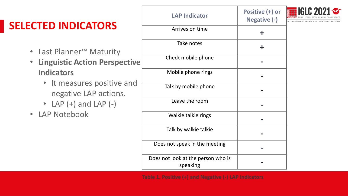## **SELECTED INDICATORS**

- Last Planner™ Maturity
- **Linguistic Action Perspective Indicators**
	- It measures positive and negative LAP actions.
	- $\bullet$  LAP  $(+)$  and LAP  $(-)$
- LAP Notebook

| <b>LAP Indicator</b>                           | Positive (+) or<br>Negative (-) | NTERNATIONAL GROUP FOR LEAN CONSTR |
|------------------------------------------------|---------------------------------|------------------------------------|
| Arrives on time                                | ╋                               |                                    |
| Take notes                                     | ╋                               |                                    |
| Check mobile phone                             |                                 |                                    |
| Mobile phone rings                             |                                 |                                    |
| Talk by mobile phone                           |                                 |                                    |
| Leave the room                                 |                                 |                                    |
| Walkie talkie rings                            |                                 |                                    |
| Talk by walkie talkie                          |                                 |                                    |
| Does not speak in the meeting                  |                                 |                                    |
| Does not look at the person who is<br>speaking |                                 |                                    |
|                                                |                                 |                                    |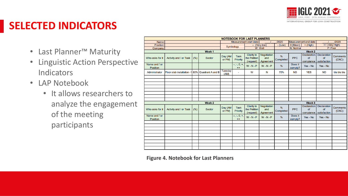

### **SELECTED INDICATORS**

- Last Planner™ Maturity
- Linguistic Action Perspective **Indicators**
- LAP Notebook
	- It allows researchers to analyze the engagement of the meeting participants

| <b>NOTEBOOK FOR LAST PLANNERS</b> |                                                 |      |               |                                |                                |                                                |                                        |                                   |                    |                                       |                                                      |                          |
|-----------------------------------|-------------------------------------------------|------|---------------|--------------------------------|--------------------------------|------------------------------------------------|----------------------------------------|-----------------------------------|--------------------|---------------------------------------|------------------------------------------------------|--------------------------|
| Name:                             |                                                 |      |               | <b>Measurement start date:</b> |                                | /2020                                          | Measurement end date:                  |                                   | /2020              |                                       |                                                      |                          |
| Position:                         |                                                 |      |               |                                |                                |                                                | -- (Very low)                          | $-$ (Low)                         | $0$ (Mean)         | $+$ (High)                            | ++ (Very High)                                       |                          |
| Company:                          |                                                 |      | Symbology     |                                | W: Well                        |                                                | N: Normal                              |                                   | P: Poor            |                                       |                                                      |                          |
| Week 1                            |                                                 |      |               |                                | Week 2                         |                                                |                                        |                                   |                    |                                       |                                                      |                          |
| Who asks for it                   | Activity and / or Task                          | (% ) | <b>Sector</b> | Day (AM<br>or PM)              | <b>Task</b><br>Priority        | <b>Clarity</b> in<br>the Petition<br>(request) | <b>Negotiation</b><br>and<br>Agreement | $\frac{9}{6}$<br>Completed        | <b>PPC</b>         | <b>Declaration</b><br>of<br>compiance | <b>Declaration</b><br>of<br>satisfaction             | <b>Comments</b><br>(CNC) |
| Name and / or<br><b>Position</b>  |                                                 |      |               |                                | $-$ , -, 0, +,<br>$++$         | $W - N - P$                                    | $W - N - P$                            | $\frac{9}{6}$                     | Does it<br>comply? | Yes - No                              | Yes - No                                             |                          |
| Administrator                     | Floor slab installation -1 80% Quadrant A and B |      |               | <b>Tuesday</b><br>(AM)         | $\blacksquare$                 | W                                              | N                                      | 70%                               | <b>NO</b>          | <b>YES</b>                            | <b>NO</b>                                            | bla bla bla              |
|                                   |                                                 |      |               |                                |                                |                                                |                                        |                                   |                    |                                       |                                                      |                          |
|                                   |                                                 |      |               |                                |                                |                                                |                                        |                                   |                    |                                       |                                                      |                          |
|                                   |                                                 |      |               |                                |                                |                                                |                                        |                                   |                    |                                       |                                                      |                          |
|                                   |                                                 |      |               |                                |                                |                                                |                                        |                                   |                    |                                       |                                                      |                          |
|                                   |                                                 |      |               |                                |                                |                                                |                                        |                                   |                    |                                       |                                                      |                          |
|                                   |                                                 |      |               |                                |                                |                                                |                                        |                                   |                    |                                       |                                                      |                          |
|                                   |                                                 |      |               |                                |                                |                                                |                                        |                                   |                    |                                       |                                                      |                          |
|                                   |                                                 |      | Week 2        |                                |                                |                                                |                                        |                                   |                    | Week 3                                |                                                      |                          |
|                                   |                                                 |      |               |                                |                                |                                                |                                        | <b>Declaration</b>                |                    |                                       |                                                      |                          |
| Who asks for it                   | Activity and / or Task                          | (% ) | <b>Sector</b> | Day (AM<br>or PM)              | <b>Task</b><br><b>Priority</b> | <b>Clarity</b> in<br>the Petition<br>(request) | <b>Negotiation</b><br>and<br>Agreement | $\frac{9}{6}$<br><b>Completed</b> | <b>PPC</b>         | of                                    | <b>Declaration</b><br>of<br>compiance   satisfaction | <b>Comments</b><br>(CNC) |
| Name and / or<br><b>Position</b>  |                                                 |      |               |                                | $-$ , -, 0, +,<br>$++$         | $W - N - P$                                    | $W - N - P$                            | %                                 | Does it<br>comply? | Yes - No                              | Yes - No                                             |                          |
|                                   |                                                 |      |               |                                |                                |                                                |                                        |                                   |                    |                                       |                                                      |                          |
|                                   |                                                 |      |               |                                |                                |                                                |                                        |                                   |                    |                                       |                                                      |                          |
|                                   |                                                 |      |               |                                |                                |                                                |                                        |                                   |                    |                                       |                                                      |                          |
|                                   |                                                 |      |               |                                |                                |                                                |                                        |                                   |                    |                                       |                                                      |                          |
|                                   |                                                 |      |               |                                |                                |                                                |                                        |                                   |                    |                                       |                                                      |                          |
|                                   |                                                 |      |               |                                |                                |                                                |                                        |                                   |                    |                                       |                                                      |                          |
|                                   |                                                 |      |               |                                |                                |                                                |                                        |                                   |                    |                                       |                                                      |                          |
|                                   |                                                 |      |               |                                |                                |                                                |                                        |                                   |                    |                                       |                                                      |                          |
|                                   |                                                 |      |               |                                |                                |                                                |                                        |                                   |                    |                                       |                                                      |                          |

**Figure 4. Notebook for Last Planners**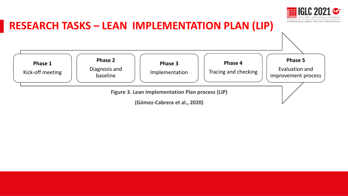

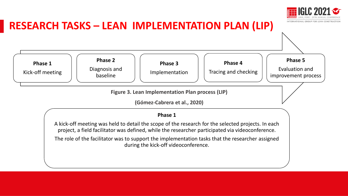



A kick-off meeting was held to detail the scope of the research for the selected projects. In each project, a field facilitator was defined, while the researcher participated via videoconference.

The role of the facilitator was to support the implementation tasks that the researcher assigned during the kick-off videoconference.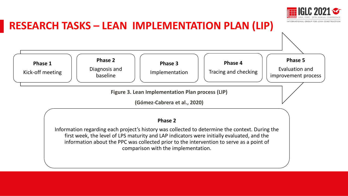



#### **Phase 2**

Information regarding each project's history was collected to determine the context. During the first week, the level of LPS maturity and LAP indicators were initially evaluated, and the information about the PPC was collected prior to the intervention to serve as a point of comparison with the implementation.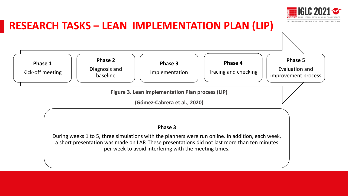

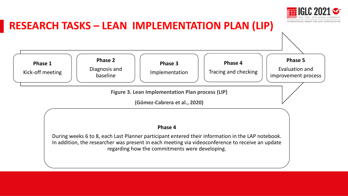



regarding how the commitments were developing.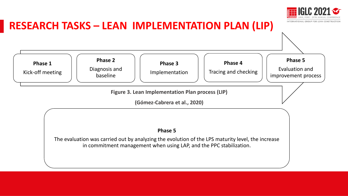

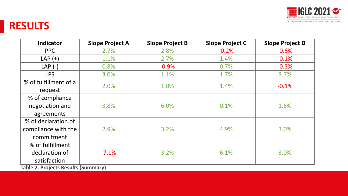

#### **RESULTS**

| <b>Slope Project A</b> | <b>Slope Project B</b>                                          | <b>Slope Project C</b> | <b>Slope Project D</b> |
|------------------------|-----------------------------------------------------------------|------------------------|------------------------|
| 2.7%                   | 2.8%                                                            | $-0.2%$                | $-0.6%$                |
| 1.1%                   | 2.7%                                                            | 1.4%                   | $-0.1%$                |
| 0.8%                   | $-0.9%$                                                         | 0.7%                   | $-0.5%$                |
| 3.0%                   | 1.1%                                                            | 1.7%                   | 3.7%                   |
|                        |                                                                 |                        |                        |
|                        |                                                                 |                        | $-0.1%$                |
|                        |                                                                 |                        |                        |
| 3.8%                   | 6.0%                                                            | 0.1%                   | 1.6%                   |
|                        |                                                                 |                        |                        |
|                        |                                                                 |                        |                        |
| 2.9%                   | 3.2%                                                            | 4.9%                   | 3.0%                   |
|                        |                                                                 |                        |                        |
|                        |                                                                 |                        |                        |
| $-7.1%$                | 3.2%                                                            | 6.1%                   | 3.0%                   |
|                        |                                                                 |                        |                        |
|                        | 2.0%<br>$T_{\alpha}$ kla $\alpha$ , Duatasta Daaulta (Cummaanu) | 1.0%                   | 1.4%                   |

**Table 2. Projects Results (Summary)**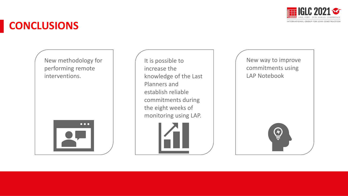

#### **CONCLUSIONS**

New methodology for performing remote interventions.

| $\bullet\bullet\bullet$ |  |
|-------------------------|--|
|                         |  |

It is possible to increase the knowledge of the Last Planners and establish reliable commitments during the eight weeks of monitoring using LAP.





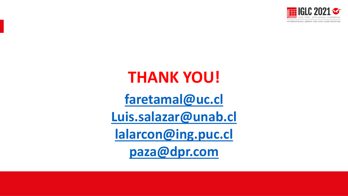

# **THANK YOU!**

**[faretamal@uc.cl](mailto:faretamal@uc.cl)**

**[Luis.salazar@unab.cl](mailto:Luis.salazar@unab.cl)**

**[lalarcon@ing.puc.cl](mailto:lalarcon@ing.puc.cl)**

**[paza@dpr.com](mailto:paza@dpr.com)**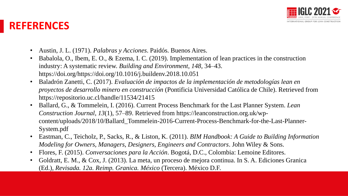

#### **REFERENCES**

- Austin, J. L. (1971). *Palabras y Acciones*. Paidós. Buenos Aires.
- Babalola, O., Ibem, E. O., & Ezema, I. C. (2019). Implementation of lean practices in the construction industry: A systematic review. *Building and Environment*, *148*, 34–43. https://doi.org/https://doi.org/10.1016/j.buildenv.2018.10.051
- Baladrón Zanetti, C. (2017). *Evaluación de impactos de la implementación de metodologías lean en proyectos de desarrollo minero en construcción* (Pontificia Universidad Católica de Chile). Retrieved from https://repositorio.uc.cl/handle/11534/21415
- Ballard, G., & Tommelein, I. (2016). Current Process Benchmark for the Last Planner System. *Lean Construction Journal*, *13*(1), 57–89. Retrieved from https://leanconstruction.org.uk/wpcontent/uploads/2018/10/Ballard\_Tommelein-2016-Current-Process-Benchmark-for-the-Last-Planner-System.pdf
- Eastman, C., Teicholz, P., Sacks, R., & Liston, K. (2011). *BIM Handbook: A Guide to Building Information Modeling for Owners, Managers, Designers, Engineers and Contractors*. John Wiley & Sons.
- Flores, F. (2015). *Conversaciones para la Acción*. Bogotá, D.C., Colombia: Lemoine Editores.
- Goldratt, E. M., & Cox, J. (2013). La meta, un proceso de mejora continua. In S. A. Ediciones Granica (Ed.), *Revisada. 12a. Reimp. Granica. México* (Tercera). México D.F.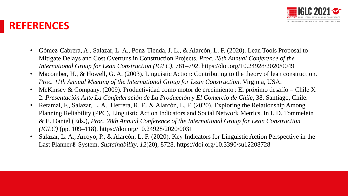

#### **REFERENCES**

- Gómez-Cabrera, A., Salazar, L. A., Ponz-Tienda, J. L., & Alarcón, L. F. (2020). Lean Tools Proposal to Mitigate Delays and Cost Overruns in Construction Projects. *Proc. 28th Annual Conference of the International Group for Lean Construction (IGLC)*, 781–792. https://doi.org/10.24928/2020/0049
- Macomber, H., & Howell, G. A. (2003). Linguistic Action: Contributing to the theory of lean construction. *Proc. 11th Annual Meeting of the International Group for Lean Construction.* Virginia, USA.
- McKinsey & Company. (2009). Productividad como motor de crecimiento : El próximo desafío = Chile X 2. *Presentación Ante La Confederación de La Producción y El Comercio de Chile*, 38. Santiago, Chile.
- Retamal, F., Salazar, L. A., Herrera, R. F., & Alarcón, L. F. (2020). Exploring the Relationship Among Planning Reliability (PPC), Linguistic Action Indicators and Social Network Metrics. In I. D. Tommelein & E. Daniel (Eds.), *Proc. 28th Annual Conference of the International Group for Lean Construction (IGLC)* (pp. 109–118). https://doi.org/10.24928/2020/0031
- Salazar, L. A., Arroyo, P., & Alarcón, L. F. (2020). Key Indicators for Linguistic Action Perspective in the Last Planner® System. *Sustainability*, *12*(20), 8728. https://doi.org/10.3390/su12208728